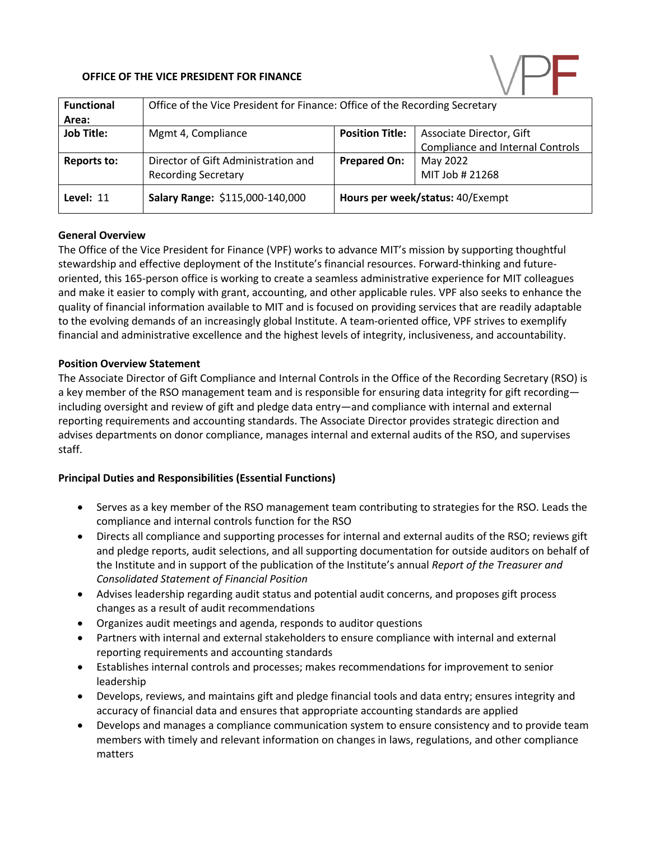# **OFFICE OF THE VICE PRESIDENT FOR FINANCE**



| <b>Functional</b>  | Office of the Vice President for Finance: Office of the Recording Secretary |                                  |                                  |
|--------------------|-----------------------------------------------------------------------------|----------------------------------|----------------------------------|
| Area:              |                                                                             |                                  |                                  |
| <b>Job Title:</b>  | Mgmt 4, Compliance                                                          | <b>Position Title:</b>           | Associate Director, Gift         |
|                    |                                                                             |                                  | Compliance and Internal Controls |
| <b>Reports to:</b> | Director of Gift Administration and                                         | <b>Prepared On:</b>              | May 2022                         |
|                    | <b>Recording Secretary</b>                                                  |                                  | MIT Job # 21268                  |
| Level: 11          | Salary Range: \$115,000-140,000                                             | Hours per week/status: 40/Exempt |                                  |

## **General Overview**

The Office of the Vice President for Finance (VPF) works to advance MIT's mission by supporting thoughtful stewardship and effective deployment of the Institute's financial resources. Forward-thinking and futureoriented, this 165-person office is working to create a seamless administrative experience for MIT colleagues and make it easier to comply with grant, accounting, and other applicable rules. VPF also seeks to enhance the quality of financial information available to MIT and is focused on providing services that are readily adaptable to the evolving demands of an increasingly global Institute. A team-oriented office, VPF strives to exemplify financial and administrative excellence and the highest levels of integrity, inclusiveness, and accountability.

#### **Position Overview Statement**

The Associate Director of Gift Compliance and Internal Controls in the Office of the Recording Secretary (RSO) is a key member of the RSO management team and is responsible for ensuring data integrity for gift recording including oversight and review of gift and pledge data entry—and compliance with internal and external reporting requirements and accounting standards. The Associate Director provides strategic direction and advises departments on donor compliance, manages internal and external audits of the RSO, and supervises staff.

## **Principal Duties and Responsibilities (Essential Functions)**

- Serves as a key member of the RSO management team contributing to strategies for the RSO. Leads the compliance and internal controls function for the RSO
- Directs all compliance and supporting processes for internal and external audits of the RSO; reviews gift and pledge reports, audit selections, and all supporting documentation for outside auditors on behalf of the Institute and in support of the publication of the Institute's annual *Report of the Treasurer and Consolidated Statement of Financial Position*
- Advises leadership regarding audit status and potential audit concerns, and proposes gift process changes as a result of audit recommendations
- Organizes audit meetings and agenda, responds to auditor questions
- Partners with internal and external stakeholders to ensure compliance with internal and external reporting requirements and accounting standards
- Establishes internal controls and processes; makes recommendations for improvement to senior leadership
- Develops, reviews, and maintains gift and pledge financial tools and data entry; ensures integrity and accuracy of financial data and ensures that appropriate accounting standards are applied
- Develops and manages a compliance communication system to ensure consistency and to provide team members with timely and relevant information on changes in laws, regulations, and other compliance matters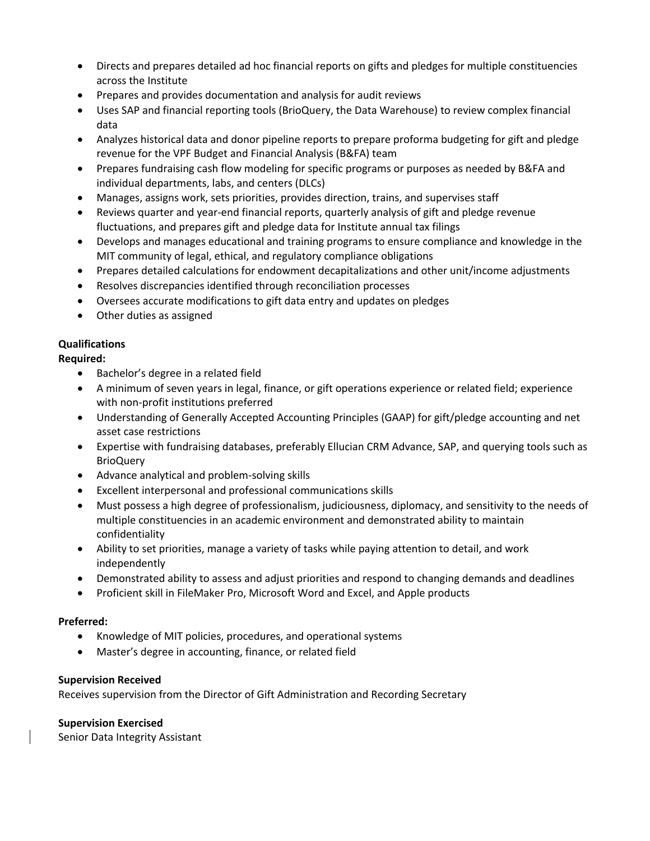- Directs and prepares detailed ad hoc financial reports on gifts and pledges for multiple constituencies across the Institute
- Prepares and provides documentation and analysis for audit reviews
- Uses SAP and financial reporting tools (BrioQuery, the Data Warehouse) to review complex financial data
- Analyzes historical data and donor pipeline reports to prepare proforma budgeting for gift and pledge revenue for the VPF Budget and Financial Analysis (B&FA) team
- Prepares fundraising cash flow modeling for specific programs or purposes as needed by B&FA and individual departments, labs, and centers (DLCs)
- Manages, assigns work, sets priorities, provides direction, trains, and supervises staff
- Reviews quarter and year-end financial reports, quarterly analysis of gift and pledge revenue fluctuations, and prepares gift and pledge data for Institute annual tax filings
- Develops and manages educational and training programs to ensure compliance and knowledge in the MIT community of legal, ethical, and regulatory compliance obligations
- Prepares detailed calculations for endowment decapitalizations and other unit/income adjustments
- Resolves discrepancies identified through reconciliation processes
- Oversees accurate modifications to gift data entry and updates on pledges
- Other duties as assigned

# **Qualifications**

## **Required:**

- Bachelor's degree in a related field
- A minimum of seven years in legal, finance, or gift operations experience or related field; experience with non-profit institutions preferred
- Understanding of Generally Accepted Accounting Principles (GAAP) for gift/pledge accounting and net asset case restrictions
- Expertise with fundraising databases, preferably Ellucian CRM Advance, SAP, and querying tools such as **BrioQuery**
- Advance analytical and problem-solving skills
- Excellent interpersonal and professional communications skills
- Must possess a high degree of professionalism, judiciousness, diplomacy, and sensitivity to the needs of multiple constituencies in an academic environment and demonstrated ability to maintain confidentiality
- Ability to set priorities, manage a variety of tasks while paying attention to detail, and work independently
- Demonstrated ability to assess and adjust priorities and respond to changing demands and deadlines
- Proficient skill in FileMaker Pro, Microsoft Word and Excel, and Apple products

## **Preferred:**

- Knowledge of MIT policies, procedures, and operational systems
- Master's degree in accounting, finance, or related field

## **Supervision Received**

Receives supervision from the Director of Gift Administration and Recording Secretary

## **Supervision Exercised**

Senior Data Integrity Assistant